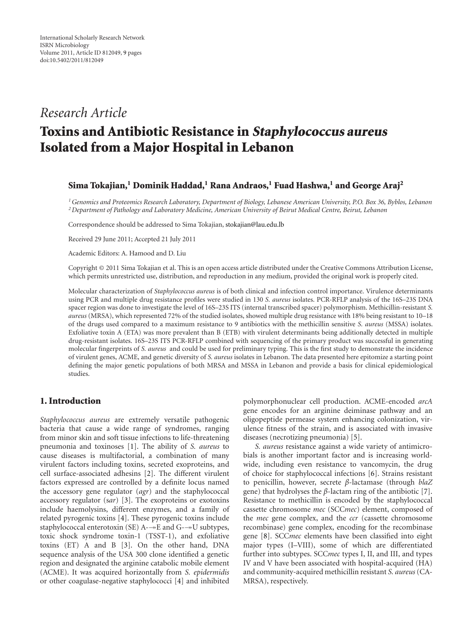# *Research Article*

# **Toxins and Antibiotic Resistance in Staphylococcus aureus Isolated from a Major Hospital in Lebanon**

#### **Sima Tokajian,1 Dominik Haddad,1 Rana Andraos,1 Fuad Hashwa,1 and George Araj2**

*1Genomics and Proteomics Research Laboratory, Department of Biology, Lebanese American University, P.O. Box 36, Byblos, Lebanon 2Department of Pathology and Laboratory Medicine, American University of Beirut Medical Centre, Beirut, Lebanon*

Correspondence should be addressed to Sima Tokajian, [stokajian@lau.edu.lb](mailto:stokajian@lau.edu.lb)

Received 29 June 2011; Accepted 21 July 2011

Academic Editors: A. Hamood and D. Liu

Copyright © 2011 Sima Tokajian et al. This is an open access article distributed under the Creative Commons Attribution License, which permits unrestricted use, distribution, and reproduction in any medium, provided the original work is properly cited.

Molecular characterization of *Staphylococcus aureus* is of both clinical and infection control importance. Virulence determinants using PCR and multiple drug resistance profiles were studied in 130 *S. aureus* isolates. PCR-RFLP analysis of the 16S–23S DNA spacer region was done to investigate the level of 16S–23S ITS (internal transcribed spacer) polymorphism. Methicillin-resistant *S. aureus* (MRSA), which represented 72% of the studied isolates, showed multiple drug resistance with 18% being resistant to 10–18 of the drugs used compared to a maximum resistance to 9 antibiotics with the methicillin sensitive *S. aureus* (MSSA) isolates. Exfoliative toxin A (ETA) was more prevalent than B (ETB) with virulent determinants being additionally detected in multiple drug-resistant isolates. 16S–23S ITS PCR-RFLP combined with sequencing of the primary product was successful in generating molecular fingerprints of *S. aureus* and could be used for preliminary typing. This is the first study to demonstrate the incidence of virulent genes, ACME, and genetic diversity of *S. aureus* isolates in Lebanon. The data presented here epitomize a starting point defining the major genetic populations of both MRSA and MSSA in Lebanon and provide a basis for clinical epidemiological studies.

## **1. Introduction**

*Staphylococcus aureus* are extremely versatile pathogenic bacteria that cause a wide range of syndromes, ranging from minor skin and soft tissue infections to life-threatening pneumonia and toxinoses [\[1\]](#page-6-1). The ability of *S. aureus* to cause diseases is multifactorial, a combination of many virulent factors including toxins, secreted exoproteins, and cell surface-associated adhesins [\[2](#page-6-2)]. The different virulent factors expressed are controlled by a definite locus named the accessory gene regulator (*agr*) and the staphylococcal accessory regulator (s*ar*) [\[3\]](#page-6-3). The exoproteins or exotoxins include haemolysins, different enzymes, and a family of related pyrogenic toxins [\[4\]](#page-6-4). These pyrogenic toxins include staphylococcal enterotoxin (SE) A--E and G--U subtypes, toxic shock syndrome toxin-1 (TSST-1), and exfoliative toxins (ET) A and B [\[3](#page-6-3)]. On the other hand, DNA sequence analysis of the USA 300 clone identified a genetic region and designated the arginine catabolic mobile element (ACME). It was acquired horizontally from *S. epidermidis* or other coagulase-negative staphylococci [\[4\]](#page-6-4) and inhibited

polymorphonuclear cell production. ACME-encoded *arcA* gene encodes for an arginine deiminase pathway and an oligopeptide permease system enhancing colonization, virulence fitness of the strain, and is associated with invasive diseases (necrotizing pneumonia) [\[5\]](#page-6-5).

*S. aureus* resistance against a wide variety of antimicrobials is another important factor and is increasing worldwide, including even resistance to vancomycin, the drug of choice for staphylococcal infections [\[6](#page-7-0)]. Strains resistant to penicillin, however, secrete *β*-lactamase (through *blaZ* gene) that hydrolyses the  $\beta$ -lactam ring of the antibiotic [\[7\]](#page-7-1). Resistance to methicillin is encoded by the staphylococcal cassette chromosome *mec* (SCC*mec*) element, composed of the *mec* gene complex, and the *ccr* (cassette chromosome recombinase) gene complex, encoding for the recombinase gene [\[8](#page-7-2)]. SCC*mec* elements have been classified into eight major types (I–VIII), some of which are differentiated further into subtypes. SCC*mec* types I, II, and III, and types IV and V have been associated with hospital-acquired (HA) and community-acquired methicillin resistant *S. aureus*(CA-MRSA), respectively.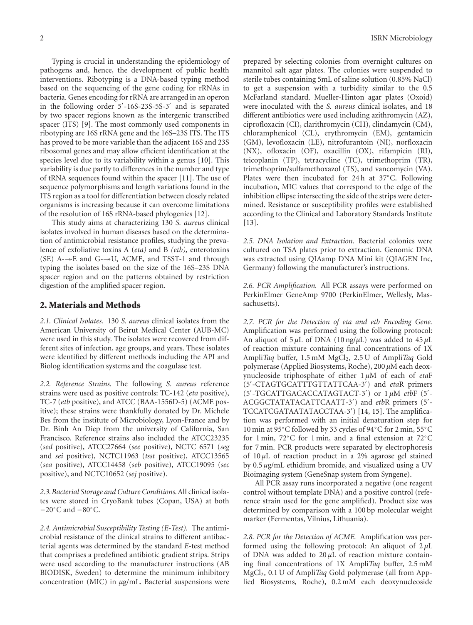Typing is crucial in understanding the epidemiology of pathogens and, hence, the development of public health interventions. Ribotyping is a DNA-based typing method based on the sequencing of the gene coding for rRNAs in bacteria. Genes encoding for rRNA are arranged in an operon in the following order 5'-16S-23S-5S-3' and is separated by two spacer regions known as the intergenic transcribed spacer (ITS) [\[9\]](#page-7-3). The most commonly used components in ribotyping are 16S rRNA gene and the 16S–23S ITS. The ITS has proved to be more variable than the adjacent 16S and 23S ribosomal genes and may allow efficient identification at the species level due to its variability within a genus [\[10](#page-7-4)]. This variability is due partly to differences in the number and type of tRNA sequences found within the spacer [\[11](#page-7-5)]. The use of sequence polymorphisms and length variations found in the ITS region as a tool for differentiation between closely related organisms is increasing because it can overcome limitations of the resolution of 16S rRNA-based phylogenies [\[12\]](#page-7-6).

This study aims at characterizing 130 *S. aureus* clinical isolates involved in human diseases based on the determination of antimicrobial resistance profiles, studying the prevalence of exfoliative toxins A (*eta)* and B *(etb),* enterotoxins (SE)  $A \rightarrow E$  and  $G \rightarrow U$ , ACME, and TSST-1 and through typing the isolates based on the size of the 16S–23S DNA spacer region and on the patterns obtained by restriction digestion of the amplified spacer region.

#### **2. Materials and Methods**

*2.1. Clinical Isolates.* 130 *S. aureus* clinical isolates from the American University of Beirut Medical Center (AUB-MC) were used in this study. The isolates were recovered from different sites of infection, age groups, and years. These isolates were identified by different methods including the API and Biolog identification systems and the coagulase test.

*2.2. Reference Strains.* The following *S. aureus* reference strains were used as positive controls: TC-142 (*eta* positive), TC-7 (*etb* positive), and ATCC (BAA-1556D-5) (ACME positive); these strains were thankfully donated by Dr. Michele Bes from the institute of Microbiology, Lyon-France and by Dr. Binh An Diep from the university of California, San Francisco. Reference strains also included the ATCC23235 (*sed* positive), ATCC27664 (*see* positive), NCTC 6571 (*seg* and *sei* positive), NCTC11963 (*tsst* positive), ATCC13565 (*sea* positive), ATCC14458 (*seb* positive), ATCC19095 (*sec* positive), and NCTC10652 (*sej* positive).

*2.3.Bacterial Storage and Culture Conditions.*All clinical isolates were stored in CryoBank tubes (Copan, USA) at both −20◦C and −80◦C.

*2.4. Antimicrobial Susceptibility Testing (E-Test).* The antimicrobial resistance of the clinical strains to different antibacterial agents was determined by the standard *E*-test method that comprises a predefined antibiotic gradient strips. Strips were used according to the manufacturer instructions (AB BIODISK, Sweden) to determine the minimum inhibitory concentration (MIC) in *μ*g/mL. Bacterial suspensions were

prepared by selecting colonies from overnight cultures on mannitol salt agar plates. The colonies were suspended to sterile tubes containing 5mL of saline solution (0.85% NaCl) to get a suspension with a turbidity similar to the 0.5 McFarland standard. Mueller-Hinton agar plates (Oxoid) were inoculated with the *S. aureus* clinical isolates, and 18 different antibiotics were used including azithromycin (AZ), ciprofloxacin (CI), clarithromycin (CH), clindamycin (CM), chloramphenicol (CL), erythromycin (EM), gentamicin (GM), levofloxacin (LE), nitrofurantoin (NI), norfloxacin (NX), ofloxacin (OF), oxacillin (OX), rifampicin (RI), teicoplanin (TP), tetracycline (TC), trimethoprim (TR), trimethoprim/sulfamethoxazol (TS), and vancomycin (VA). Plates were then incubated for 24 h at 37◦C. Following incubation, MIC values that correspond to the edge of the inhibition ellipse intersecting the side of the strips were determined. Resistance or susceptibility profiles were established according to the Clinical and Laboratory Standards Institute  $[13]$ .

*2.5. DNA Isolation and Extraction.* Bacterial colonies were cultured on TSA plates prior to extraction. Genomic DNA was extracted using QIAamp DNA Mini kit (QIAGEN Inc, Germany) following the manufacturer's instructions.

*2.6. PCR Amplification.* All PCR assays were performed on PerkinElmer GeneAmp 9700 (PerkinElmer, Wellesly, Massachusetts).

*2.7. PCR for the Detection of eta and etb Encoding Gene.* Amplification was performed using the following protocol: An aliquot of 5 *μ*L of DNA (10 ng/*μ*L) was added to 45 *μ*L of reaction mixture containing final concentrations of 1X Ampli*Taq* buffer, 1.5 mM MgCl2, 2.5 U of Ampli*Taq* Gold polymerase (Applied Biosystems, Roche), 200 *μ*M each deoxynucleoside triphosphate of either 1 *μ*M of each of *eta*F (5'-CTAGTGCATTTGTTATTCAA-3') and etaR primers (5'-TGCATTGACACCATAGTACT-3') or 1μM etbF (5'-ACGGCTATATACATTCAATT-3') and etbR primers (5'-TCCATCGATAATATACCTAA-3') [\[14](#page-7-8), [15\]](#page-7-9). The amplification was performed with an initial denaturation step for 10 min at 95◦C followed by 33 cycles of 94◦C for 2 min, 55◦C for 1 min, 72◦C for 1 min, and a final extension at 72◦C for 7 min. PCR products were separated by electrophoresis of 10 *μ*L of reaction product in a 2% agarose gel stained by 0.5 *μ*g/mL ethidium bromide, and visualized using a UV Bioimaging system (GeneSnap system from Syngene).

All PCR assay runs incorporated a negative (one reagent control without template DNA) and a positive control (reference strain used for the gene amplified). Product size was determined by comparison with a 100 bp molecular weight marker (Fermentas, Vilnius, Lithuania).

*2.8. PCR for the Detection of ACME.* Amplification was performed using the following protocol: An aliquot of 2 *μ*L of DNA was added to 20 *μ*L of reaction mixture containing final concentrations of 1X Ampli*Taq* buffer, 2.5 mM MgCl2, 0.1 U of Ampli*Taq* Gold polymerase (all from Applied Biosystems, Roche), 0.2 mM each deoxynucleoside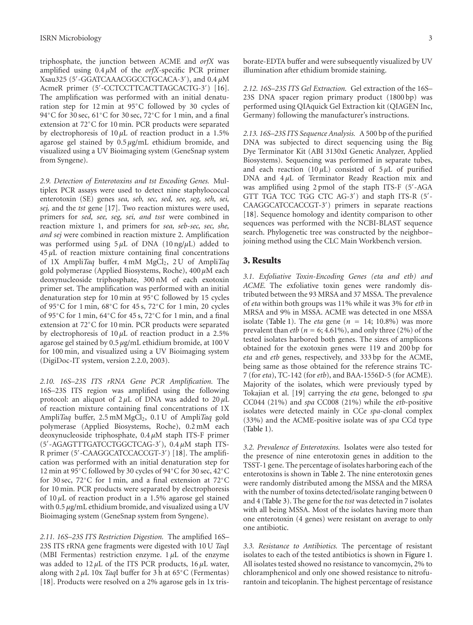triphosphate, the junction between ACME and *orfX* was amplified using 0.4 *μ*M of the *orfX-*specific PCR primer Xsau325 (5- -GGATCAAACGGCCTGCACA-3- ), and 0.4 *μ*M AcmeR primer (5'-CCTCCTTCACTTAGCACTG-3') [\[16\]](#page-7-10). The amplification was performed with an initial denaturation step for 12 min at 95◦C followed by 30 cycles of 94℃ for 30 sec, 61°C for 30 sec, 72°C for 1 min, and a final extension at 72◦C for 10 min. PCR products were separated by electrophoresis of 10 *μ*L of reaction product in a 1.5% agarose gel stained by 0.5 *μ*g/mL ethidium bromide, and visualized using a UV Bioimaging system (GeneSnap system from Syngene).

*2.9. Detection of Enterotoxins and tst Encoding Genes.* Multiplex PCR assays were used to detect nine staphylococcal enterotoxin (SE) genes *sea, seb, sec, sed, see, seg, seh, sei, sej,* and the *tst* gene [\[17](#page-7-11)]. Two reaction mixtures were used, primers for *sed, see, seg, sei, and tsst* were combined in reaction mixture 1, and primers for *sea, seb-sec, sec, she, and sej* were combined in reaction mixture 2. Amplification was performed using 5 *μ*L of DNA (10 ng/*μ*L) added to 45 *μ*L of reaction mixture containing final concentrations of 1X Ampli*Taq* buffer, 4 mM MgCl<sub>2</sub>, 2 U of Ampli*Taq* gold polymerase (Applied Biosystems, Roche), 400 *μ*M each deoxynucleoside triphosphate, 300 nM of each exotoxin primer set. The amplification was performed with an initial denaturation step for 10 min at 95◦C followed by 15 cycles of 95◦C for 1 min, 68◦C for 45 s, 72◦C for 1 min, 20 cycles of 95◦C for 1 min, 64◦C for 45 s, 72◦C for 1 min, and a final extension at 72◦C for 10 min. PCR products were separated by electrophoresis of 10 *μ*L of reaction product in a 2.5% agarose gel stained by 0.5 *μ*g/mL ethidium bromide, at 100 V for 100 min, and visualized using a UV Bioimaging system (DigiDoc-IT system, version 2.2.0, 2003).

*2.10. 16S–23S ITS rRNA Gene PCR Amplification.* The 16S*–*23S ITS region was amplified using the following protocol: an aliquot of 2 *μ*L of DNA was added to 20 *μ*L of reaction mixture containing final concentrations of 1X Ampli*Taq* buffer, 2.5 mM MgCl<sub>2</sub>, 0.1 U of Ampli*Taq* gold polymerase (Applied Biosystems, Roche), 0.2 mM each deoxynucleoside triphosphate, 0.4 *μ*M staph ITS-F primer (5- -AGAGTTTGATCCTGGCTCAG-3- ), 0.4 *μ*M staph ITS-R primer (5'-CAAGGCATCCACCGT-3') [\[18\]](#page-7-12). The amplification was performed with an initial denaturation step for 12 min at 95◦C followed by 30 cycles of 94◦C for 30 sec, 42◦C for 30 sec, 72◦C for 1 min, and a final extension at 72◦C for 10 min. PCR products were separated by electrophoresis of 10 *μ*L of reaction product in a 1.5% agarose gel stained with 0.5 *μ*g/mL ethidium bromide, and visualized using a UV Bioimaging system (GeneSnap system from Syngene).

*2.11. 16S–23S ITS Restriction Digestion.* The amplified 16S– 23S ITS rRNA gene fragments were digested with 10 U *Taq*I (MBI Fermentas) restriction enzyme. 1 *μ*L of the enzyme was added to 12 *μ*L of the ITS PCR products, 16 *μ*L water, along with 2 *μ*L 10x *Taq*I buffer for 3 h at 65◦C (Fermentas) [\[18\]](#page-7-12). Products were resolved on a 2% agarose gels in 1x trisborate-EDTA buffer and were subsequently visualized by UV illumination after ethidium bromide staining.

*2.12. 16S–23S ITS Gel Extraction.* Gel extraction of the 16S– 23S DNA spacer region primary product (1800 bp) was performed using QIAquick Gel Extraction kit (QIAGEN Inc, Germany) following the manufacturer's instructions.

*2.13. 16S–23S ITS Sequence Analysis.* A 500 bp of the purified DNA was subjected to direct sequencing using the Big Dye Terminator Kit (ABI 3130xI Genetic Analyzer, Applied Biosystems). Sequencing was performed in separate tubes, and each reaction ( $10 \mu L$ ) consisted of  $5 \mu L$  of purified DNA and 4 *μ*L of Terminator Ready Reaction mix and was amplified using 2 pmol of the staph ITS-F (5'-AGA GTT TGA TCC TGG CTC AG-3') and staph ITS-R (5'-CAAGGCATCCACCGT-3') primers in separate reactions [\[18\]](#page-7-12). Sequence homology and identity comparison to other sequences was performed with the NCBI-BLAST sequence search. Phylogenetic tree was constructed by the neighbor– joining method using the CLC Main Workbench version.

#### **3. Results**

*3.1. Exfoliative Toxin-Encoding Genes (eta and etb) and ACME.* The exfoliative toxin genes were randomly distributed between the 93 MRSA and 37 MSSA. The prevalence of *eta* within both groups was 11% while it was 3% for *etb* in MRSA and 9% in MSSA. ACME was detected in one MSSA isolate [\(Table 1\)](#page-3-0). The *eta* gene ( $n = 14$ ; 10.8%) was more prevalent than *etb* ( $n = 6$ ; 4.61%), and only three (2%) of the tested isolates harbored both genes. The sizes of amplicons obtained for the exotoxin genes were 119 and 200 bp for *eta* and *etb* genes, respectively, and 333 bp for the ACME, being same as those obtained for the reference strains TC-7 (for *eta*), TC-142 (for *etb*), and BAA-1556D-5 (for ACME). Majority of the isolates, which were previously typed by Tokajian et al. [\[19\]](#page-7-13) carrying the *eta* gene, belonged to *spa* CC044 (21%) and *spa* CC008 (21%) while the *etb*-positive isolates were detected mainly in CCe *spa*-clonal complex (33%) and the ACME-positive isolate was of *spa* CCd type [\(Table 1\)](#page-3-0).

*3.2. Prevalence of Enterotoxins.* Isolates were also tested for the presence of nine enterotoxin genes in addition to the TSST-1 gene. The percentage of isolates harboring each of the enterotoxins is shown in [Table 2.](#page-3-1) The nine enterotoxin genes were randomly distributed among the MSSA and the MRSA with the number of toxins detected/isolate ranging between 0 and 4 [\(Table 3\)](#page-4-0). The gene for the *tsst* was detected in 7 isolates with all being MSSA. Most of the isolates having more than one enterotoxin (4 genes) were resistant on average to only one antibiotic.

*3.3. Resistance to Antibiotics.* The percentage of resistant isolates to each of the tested antibiotics is shown in [Figure 1.](#page-3-2) All isolates tested showed no resistance to vancomycin, 2% to chloramphenicol and only one showed resistance to nitrofurantoin and teicoplanin. The highest percentage of resistance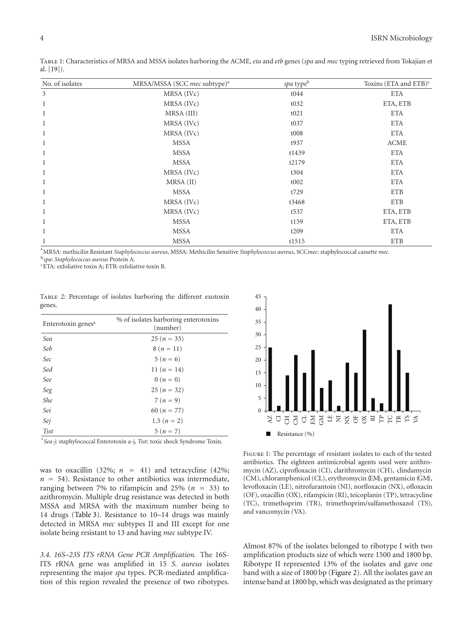| No. of isolates | MRSA/MSSA (SCC mec subtype) <sup>a</sup> | spa typeb        | Toxins (ETA and ETB) $\text{c}$ |
|-----------------|------------------------------------------|------------------|---------------------------------|
| 3               | MRSA (IVc)                               | t044             | <b>ETA</b>                      |
| 1               | MRSA (IVc)                               | t032             | ETA, ETB                        |
| $\mathbf{1}$    | MRSA (III)                               | t021             | <b>ETA</b>                      |
| 1               | MRSA (IVc)                               | t037             | <b>ETA</b>                      |
| $\mathbf{1}$    | MRSA (IVc)                               | t008             | <b>ETA</b>                      |
| 1               | <b>MSSA</b>                              | t937             | <b>ACME</b>                     |
| 1               | <b>MSSA</b>                              | t1439            | <b>ETA</b>                      |
| $\mathbf{1}$    | <b>MSSA</b>                              | t2179            | <b>ETA</b>                      |
| 1               | MRSA (IVc)                               | t304             | <b>ETA</b>                      |
| $\mathbf{1}$    | MRSA (II)                                | t002             | <b>ETA</b>                      |
| $\mathbf{1}$    | <b>MSSA</b>                              | t729             | <b>ETB</b>                      |
| 1               | MRSA (IVc)                               | t3468            | <b>ETB</b>                      |
| 1               | MRSA (IVc)                               | t <sub>537</sub> | ETA, ETB                        |
| 1               | <b>MSSA</b>                              | t159             | ETA, ETB                        |
| $\mathbf{1}$    | <b>MSSA</b>                              | t209             | <b>ETA</b>                      |
|                 | <b>MSSA</b>                              | t1515            | <b>ETB</b>                      |

<span id="page-3-0"></span>Table 1: Characteristics of MRSA and MSSA isolates harboring the ACME, *eta* and *etb* genes (*spa* and *mec* typing retrieved from Tokajian et al. [\[19](#page-7-13)]).

a MRSA: methicilin Resistant *Staphylococcus aureus*, MSSA: Methicilin Sensitive *Staphylococcus aureus*, SCC*mec*: staphylococcal cassette *mec*. <sup>b</sup>*spa*: *Staphylococcus aureus* Protein A.

cETA: exfoliative toxin A; ETB: exfoliative toxin B.

<span id="page-3-1"></span>

|        | TABLE 2: Percentage of isolates harboring the different exotoxin |  |  |  |
|--------|------------------------------------------------------------------|--|--|--|
| genes. |                                                                  |  |  |  |

| Enterotoxin genes <sup>a</sup> | % of isolates harboring enterotoxins<br>(number) |  |  |
|--------------------------------|--------------------------------------------------|--|--|
| Sea                            | $25(n=33)$                                       |  |  |
| Seb                            | $8(n = 11)$                                      |  |  |
| Sec                            | $5(n=6)$                                         |  |  |
| Sed                            | 11 $(n = 14)$                                    |  |  |
| See                            | $0(n=0)$                                         |  |  |
| Seg                            | $25(n=32)$                                       |  |  |
| She                            | $7(n=9)$                                         |  |  |
| Sei                            | 60 $(n = 77)$                                    |  |  |
| Sej                            | 1.5 $(n = 2)$                                    |  |  |
| <b>Tsst</b>                    | $5(n = 7)$                                       |  |  |

a *Sea*-*j*: staphylococcal Enterotoxin a-j, *Tsst*: toxic shock Syndrome Toxin.

was to oxacillin (32%;  $n = 41$ ) and tetracycline (42%;  $n = 54$ ). Resistance to other antibiotics was intermediate, ranging between 7% to rifampicin and 25% ( $n = 33$ ) to azithromycin. Multiple drug resistance was detected in both MSSA and MRSA with the maximum number being to 14 drugs [\(Table 3\)](#page-4-0). Resistance to 10–14 drugs was mainly detected in MRSA *mec* subtypes II and III except for one isolate being resistant to 13 and having *mec* subtype IV.

*3.4. 16S–23S ITS rRNA Gene PCR Amplification.* The 16S-ITS rRNA gene was amplified in 15 *S. aureus* isolates representing the major *spa* types. PCR-mediated amplification of this region revealed the presence of two ribotypes.



<span id="page-3-2"></span>Figure 1: The percentage of resistant isolates to each of the tested antibiotics. The eighteen antimicrobial agents used were azithromycin (AZ), ciprofloxacin (CI), clarithromycin (CH), clindamycin (CM), chloramphenicol (CL), erythromycin (EM), gentamicin (GM), levofloxacin (LE), nitrofurantoin (NI), norfloxacin (NX), ofloxacin (OF), oxacillin (OX), rifampicin (RI), teicoplanin (TP), tetracycline (TC), trimethoprim (TR), trimethoprim/sulfamethoxazol (TS), and vancomycin (VA).

Almost 87% of the isolates belonged to ribotype I with two amplification products size of which were 1500 and 1800 bp. Ribotype II represented 13% of the isolates and gave one band with a size of 1800 bp [\(Figure 2\)](#page-4-1). All the isolates gave an intense band at 1800 bp, which was designated as the primary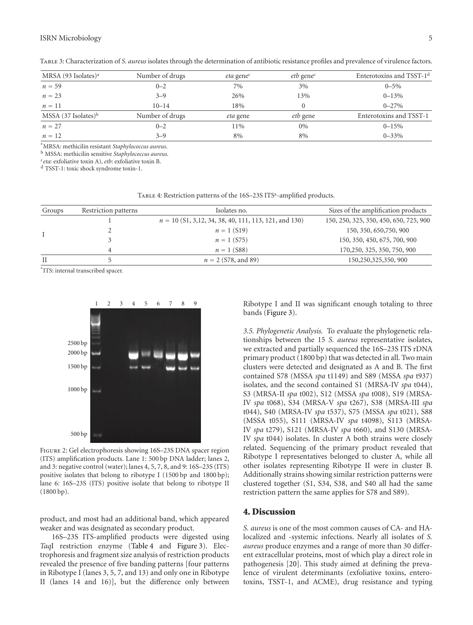<span id="page-4-0"></span>

| MRSA (93 Isolates) <sup>a</sup> | Number of drugs | eta gene <sup>c</sup> | <i>etb</i> gene <sup>c</sup> | Enterotoxins and TSST-1 <sup>d</sup> |
|---------------------------------|-----------------|-----------------------|------------------------------|--------------------------------------|
| $n = 59$                        | $0 - 2$         | 7%                    | 3%                           | $0 - 5\%$                            |
| $n = 23$                        | $3 - 9$         | 26%                   | 13%                          | $0 - 13%$                            |
| $n=11$                          | $10 - 14$       | 18%                   | $\Omega$                     | $0 - 27\%$                           |
| MSSA (37 Isolates) <sup>b</sup> | Number of drugs | <i>eta</i> gene       | <i>etb</i> gene              | Enterotoxins and TSST-1              |
| $n = 27$                        | $0 - 2$         | 11%                   | $0\%$                        | $0 - 15\%$                           |
| $n=12$                          | $3 - 9$         | 8%                    | 8%                           | $0 - 33\%$                           |

Table 3: Characterization of *S. aureus* isolates through the determination of antibiotic resistance profiles and prevalence of virulence factors.

a MRSA: methicilin resistant *Staphylococcus aureus*.

<sup>b</sup> MSSA: methicilin sensitive *Staphylococcus aureus*.

<sup>c</sup>*eta*: exfoliative toxin A), *etb*: exfoliative toxin B.

<sup>d</sup> TSST-1: toxic shock syndrome toxin-1.

<span id="page-4-2"></span>TABLE 4: Restriction patterns of the 16S-23S ITS<sup>a</sup>-amplified products.

| Groups      | Restriction patterns | Isolates no.                                            | Sizes of the amplification products    |  |
|-------------|----------------------|---------------------------------------------------------|----------------------------------------|--|
|             |                      | $n = 10$ (S1, 3,12, 34, 38, 40, 111, 113, 121, and 130) | 150, 250, 325, 350, 450, 650, 725, 900 |  |
|             |                      | $n = 1$ (S19)                                           | 150, 350, 650, 750, 900                |  |
|             |                      | $n = 1$ (S75)                                           | 150, 350, 450, 675, 700, 900           |  |
|             |                      | $n = 1$ (S88)                                           | 170, 250, 325, 350, 750, 900           |  |
| $_{\rm II}$ |                      | $n = 2$ (S78, and 89)                                   | 150,250,325,350, 900                   |  |

<sup>a</sup> ITS: internal transcribed spacer.



<span id="page-4-1"></span>Figure 2: Gel electrophoresis showing 16S–23S DNA spacer region (ITS) amplification products. Lane 1: 500 bp DNA ladder; lanes 2, and 3: negative control (water); lanes 4, 5, 7, 8, and 9: 16S–23S (ITS) positive isolates that belong to ribotype I (1500 bp and 1800 bp); lane 6*:* 16S–23S (ITS) positive isolate that belong to ribotype II (1800 bp).

product, and most had an additional band, which appeared weaker and was designated as secondary product.

16S–23S ITS-amplified products were digested using *Taq*I restriction enzyme [\(Table 4](#page-4-2) and [Figure 3\)](#page-5-0). Electrophoresis and fragment size analysis of restriction products revealed the presence of five banding patterns [four patterns in Ribotype I (lanes 3, 5, 7, and 13) and only one in Ribotype II (lanes 14 and 16)], but the difference only between

Ribotype I and II was significant enough totaling to three bands [\(Figure 3\)](#page-5-0).

*3.5. Phylogenetic Analysis.* To evaluate the phylogenetic relationships between the 15 *S. aureus* representative isolates, we extracted and partially sequenced the 16S–23S ITS rDNA primary product (1800 bp) that was detected in all. Two main clusters were detected and designated as A and B. The first contained S78 (MSSA *spa* t1149) and S89 (MSSA *spa* t937) isolates, and the second contained S1 (MRSA-IV *spa* t044), S3 (MRSA-II *spa* t002), S12 (MSSA *spa* t008), S19 (MRSA-IV *spa* t068), S34 (MRSA-V *spa* t267), S38 (MRSA-III *spa* t044), S40 (MRSA-IV *spa* t537), S75 (MSSA *spa* t021), S88 (MSSA t055), S111 (MRSA-IV *spa* t4098), S113 (MRSA-IV *spa* t279), S121 (MRSA-IV *spa* t660), and S130 (MRSA-IV *spa* t044) isolates. In cluster A both strains were closely related. Sequencing of the primary product revealed that Ribotype I representatives belonged to cluster A, while all other isolates representing Ribotype II were in cluster B. Additionally strains showing similar restriction patterns were clustered together (S1, S34, S38, and S40 all had the same restriction pattern the same applies for S78 and S89).

#### **4. Discussion**

*S. aureus* is one of the most common causes of CA- and HAlocalized and -systemic infections. Nearly all isolates of *S. aureus* produce enzymes and a range of more than 30 different extracellular proteins, most of which play a direct role in pathogenesis [\[20\]](#page-7-14). This study aimed at defining the prevalence of virulent determinants (exfoliative toxins, enterotoxins, TSST-1, and ACME), drug resistance and typing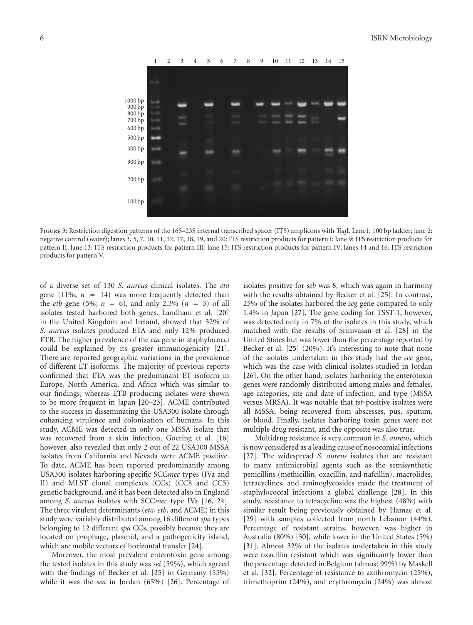

<span id="page-5-0"></span>Figure 3: Restriction digestion patterns of the 16S–23S internal transcribed spacer (ITS) amplicons with *Taq*I. Lane1: 100 bp ladder; lane 2: negative control (water); lanes 3, 5, 7, 10, 11, 12, 17, 18, 19, and 20: ITS restriction products for pattern I; lane 9: ITS restriction products for pattern II; lane 13: ITS restriction products for pattern III; lane 15: ITS restriction products for pattern IV; lanes 14 and 16: ITS restriction products for pattern V.

of a diverse set of 130 *S. aureus* clinical isolates. The *eta* gene (11%;  $n = 14$ ) was more frequently detected than the *etb* gene (5%;  $n = 6$ ), and only 2.3% ( $n = 3$ ) of all isolates tested harbored both genes. Landhani et al. [\[20](#page-7-14)] in the United Kingdom and Ireland, showed that 32% of *S. aureus* isolates produced ETA and only 12% produced ETB. The higher prevalence of the *eta* gene in staphylococci could be explained by its greater immunogenicity [\[21\]](#page-7-15). There are reported geographic variations in the prevalence of different ET isoforms. The majority of previous reports confirmed that ETA was the predominant ET isoform in Europe, North America, and Africa which was similar to our findings, whereas ETB-producing isolates were shown to be more frequent in Japan [\[20](#page-7-14)[–23](#page-7-16)]. ACME contributed to the success in disseminating the USA300 isolate through enhancing virulence and colonization of humans. In this study, ACME was detected in only one MSSA isolate that was recovered from a skin infection. Goering et al. [\[16](#page-7-10)] however, also revealed that only 2 out of 22 USA300 MSSA isolates from California and Nevada were ACME positive. To date, ACME has been reported predominantly among USA300 isolates harboring specific SCC*mec* types (IVa and II) and MLST clonal complexes (CCs) (CC8 and CC5) genetic background, and it has been detected also in England among *S. aureus* isolates with SCC*mec* type IVa [\[16,](#page-7-10) [24\]](#page-7-17). The three virulent determinants (*eta*, *etb*, and ACME) in this study were variably distributed among 16 different *spa* types belonging to 12 different *spa* CCs, possibly because they are located on prophage, plasmid, and a pathogenicity island, which are mobile vectors of horizontal transfer [\[24](#page-7-17)].

Moreover, the most prevalent enterotoxin gene among the tested isolates in this study was *sei* (59%), which agreed with the findings of Becker et al. [\[25](#page-7-18)] in Germany (55%) while it was the *sea* in Jordan (65%) [\[26](#page-7-19)]. Percentage of isolates positive for *seb* was 8, which was again in harmony with the results obtained by Becker et al. [\[25\]](#page-7-18). In contrast, 25% of the isolates harbored the *seg* gene compared to only 1.4% in Japan [\[27\]](#page-7-20). The gene coding for TSST-1, however, was detected only in 7% of the isolates in this study, which matched with the results of Srinivasan et al. [\[28](#page-7-21)] in the United States but was lower than the percentage reported by Becker et al. [\[25](#page-7-18)] (20%). It's interesting to note that none of the isolates undertaken in this study had the *see* gene, which was the case with clinical isolates studied in Jordan [\[26\]](#page-7-19). On the other hand, isolates harboring the enterotoxin genes were randomly distributed among males and females, age categories, site and date of infection, and type (MSSA versus MRSA). It was notable that *tst*-positive isolates were all MSSA, being recovered from abscesses, pus, sputum, or blood. Finally, isolates harboring toxin genes were not multiple drug resistant, and the opposite was also true.

Multidrug resistance is very common in *S. aureus*, which is now considered as a leading cause of nosocomial infections [\[27\]](#page-7-20). The widespread *S. aureus* isolates that are resistant to many antimicrobial agents such as the semisynthetic penicillins (methicillin, oxacillin, and nafcillin), macrolides, tetracyclines, and aminoglycosides made the treatment of staphylococcal infections a global challenge [\[28\]](#page-7-21). In this study, resistance to tetracycline was the highest (48%) with similar result being previously obtained by Hamze et al. [\[29\]](#page-7-22) with samples collected from north Lebanon (44%). Percentage of resistant strains, however, was higher in Australia (80%) [\[30](#page-7-23)], while lower in the United States (5%) [\[31\]](#page-7-24). Almost 32% of the isolates undertaken in this study were oxacillin resistant which was significantly lower than the percentage detected in Belgium (almost 99%) by Maskell et al*.* [\[32](#page-7-25)]. Percentage of resistance to azithromycin (25%), trimethoprim (24%), and erythromycin (24%) was almost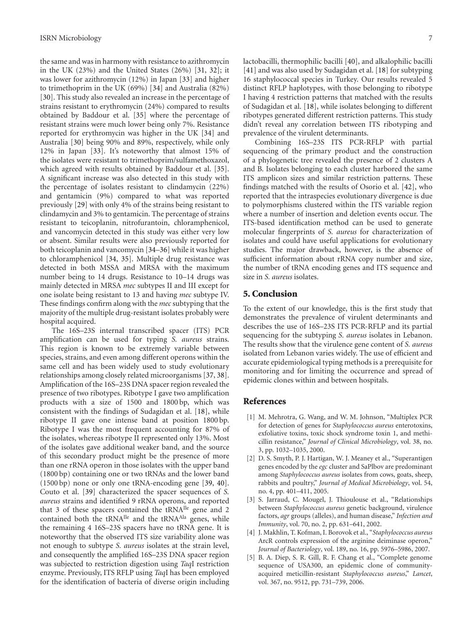the same and was in harmony with resistance to azithromycin in the UK (23%) and the United States (26%) [\[31,](#page-7-24) [32](#page-7-25)]; it was lower for azithromycin (12%) in Japan [\[33\]](#page-7-26) and higher to trimethoprim in the UK (69%) [\[34](#page-8-0)] and Australia (82%) [\[30\]](#page-7-23). This study also revealed an increase in the percentage of strains resistant to erythromycin (24%) compared to results obtained by Baddour et al. [\[35](#page-8-1)] where the percentage of resistant strains were much lower being only 7%. Resistance reported for erythromycin was higher in the UK [\[34\]](#page-8-0) and Australia [\[30\]](#page-7-23) being 90% and 89%, respectively, while only 12% in Japan [\[33\]](#page-7-26). It's noteworthy that almost 15% of the isolates were resistant to trimethoprim/sulfamethoxazol, which agreed with results obtained by Baddour et al. [\[35\]](#page-8-1). A significant increase was also detected in this study with the percentage of isolates resistant to clindamycin (22%) and gentamicin (9%) compared to what was reported previously [\[29\]](#page-7-22) with only 4% of the strains being resistant to clindamycin and 3% to gentamicin. The percentage of strains resistant to teicoplanin, nitrofurantoin, chloramphenicol, and vancomycin detected in this study was either very low or absent. Similar results were also previously reported for both teicoplanin and vancomycin [\[34](#page-8-0)[–36](#page-8-2)] while it was higher to chloramphenicol [\[34,](#page-8-0) [35](#page-8-1)]. Multiple drug resistance was detected in both MSSA and MRSA with the maximum number being to 14 drugs. Resistance to 10–14 drugs was mainly detected in MRSA *mec* subtypes II and III except for one isolate being resistant to 13 and having *mec* subtype IV. These findings confirm along with the *mec* subtyping that the majority of the multiple drug-resistant isolates probably were hospital acquired.

The 16S–23S internal transcribed spacer (ITS) PCR amplification can be used for typing *S. aureus* strains. This region is known to be extremely variable between species, strains, and even among different operons within the same cell and has been widely used to study evolutionary relationships among closely related microorganisms [\[37,](#page-8-3) [38\]](#page-8-4). Amplification of the 16S–23S DNA spacer region revealed the presence of two ribotypes. Ribotype I gave two amplification products with a size of 1500 and 1800 bp, which was consistent with the findings of Sudagidan et al. [\[18](#page-7-12)], while ribotype II gave one intense band at position 1800 bp. Ribotype I was the most frequent accounting for 87% of the isolates, whereas ribotype II represented only 13%. Most of the isolates gave additional weaker band, and the source of this secondary product might be the presence of more than one rRNA operon in those isolates with the upper band (1800 bp) containing one or two tRNAs and the lower band (1500 bp) none or only one tRNA-encoding gene [\[39](#page-8-5), [40\]](#page-8-6). Couto et al. [\[39\]](#page-8-5) characterized the spacer sequences of *S. aureus* strains and identified 9 rRNA operons, and reported that 3 of these spacers contained the  $tRNA^{I}$  gene and 2 contained both the  $tRNA^{I}$  and the  $tRNA^{A}$  genes, while the remaining 4 16S–23S spacers have no tRNA gene. It is noteworthy that the observed ITS size variability alone was not enough to subtype *S. aureus* isolates at the strain level, and consequently the amplified 16S–23S DNA spacer region was subjected to restriction digestion using *Taq*I restriction enzyme. Previously, ITS RFLP using *Taq*I has been employed for the identification of bacteria of diverse origin including

lactobacilli, thermophilic bacilli [\[40\]](#page-8-6), and alkalophilic bacilli [\[41\]](#page-8-7) and was also used by Sudagidan et al. [\[18](#page-7-12)] for subtyping 16 staphylococcal species in Turkey. Our results revealed 5 distinct RFLP haplotypes, with those belonging to ribotype I having 4 restriction patterns that matched with the results of Sudagidan et al. [\[18](#page-7-12)], while isolates belonging to different ribotypes generated different restriction patterns. This study didn't reveal any correlation between ITS ribotyping and prevalence of the virulent determinants.

Combining 16S–23S ITS PCR-RFLP with partial sequencing of the primary product and the construction of a phylogenetic tree revealed the presence of 2 clusters A and B. Isolates belonging to each cluster harbored the same ITS amplicon sizes and similar restriction patterns. These findings matched with the results of Osorio et al. [\[42\]](#page-8-8), who reported that the intraspecies evolutionary divergence is due to polymorphisms clustered within the ITS variable region where a number of insertion and deletion events occur. The ITS-based identification method can be used to generate molecular fingerprints of *S. aureus* for characterization of isolates and could have useful applications for evolutionary studies. The major drawback, however, is the absence of sufficient information about rRNA copy number and size, the number of tRNA encoding genes and ITS sequence and size in *S. aureus* isolates.

### **5. Conclusion**

To the extent of our knowledge, this is the first study that demonstrates the prevalence of virulent determinants and describes the use of 16S–23S ITS PCR-RFLP and its partial sequencing for the subtyping *S. aureus* isolates in Lebanon. The results show that the virulence gene content of *S. aureus* isolated from Lebanon varies widely. The use of efficient and accurate epidemiological typing methods is a prerequisite for monitoring and for limiting the occurrence and spread of epidemic clones within and between hospitals.

#### <span id="page-6-0"></span>**References**

- <span id="page-6-1"></span>[1] M. Mehrotra, G. Wang, and W. M. Johnson, "Multiplex PCR for detection of genes for *Staphylococcus aureus* enterotoxins, exfoliative toxins, toxic shock syndrome toxin 1, and methicillin resistance," *Journal of Clinical Microbiology*, vol. 38, no. 3, pp. 1032–1035, 2000.
- <span id="page-6-2"></span>[2] D. S. Smyth, P. J. Hartigan, W. J. Meaney et al., "Superantigen genes encoded by the *egc* cluster and SaPlbov are predominant among *Staphylococcus aureus* isolates from cows, goats, sheep, rabbits and poultry," *Journal of Medical Microbiology*, vol. 54, no. 4, pp. 401–411, 2005.
- <span id="page-6-3"></span>[3] S. Jarraud, C. Mougel, J. Thioulouse et al., "Relationships between *Staphylococcus aureus* genetic background, virulence factors, *agr* groups (alleles), and human disease," *Infection and Immunity*, vol. 70, no. 2, pp. 631–641, 2002.
- <span id="page-6-4"></span>[4] J. Makhlin, T. Kofman, I. Borovok et al., "*Staphylococcus aureus* ArcR controls expression of the arginine deiminase operon," *Journal of Bacteriology*, vol. 189, no. 16, pp. 5976–5986, 2007.
- <span id="page-6-5"></span>[5] B. A. Diep, S. R. Gill, R. F. Chang et al., "Complete genome sequence of USA300, an epidemic clone of communityacquired meticillin-resistant *Staphylococcus aureus*," *Lancet*, vol. 367, no. 9512, pp. 731–739, 2006.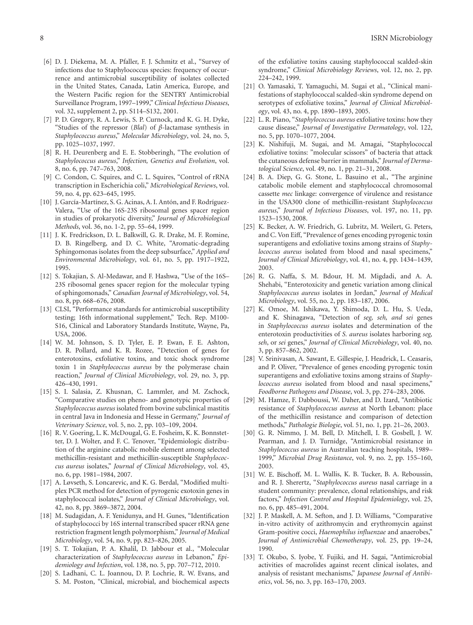- <span id="page-7-0"></span>[6] D. J. Diekema, M. A. Pfaller, F. J. Schmitz et al., "Survey of infections due to Staphylococcus species: frequency of occurrence and antimicrobial susceptibility of isolates collected in the United States, Canada, Latin America, Europe, and the Western Pacific region for the SENTRY Antimicrobial Surveillance Program, 1997–1999," *Clinical Infectious Diseases*, vol. 32, supplement 2, pp. S114–S132, 2001.
- <span id="page-7-1"></span>[7] P. D. Gregory, R. A. Lewis, S. P. Curnock, and K. G. H. Dyke, "Studies of the repressor (*Blal*) of *β*-lactamase synthesis in *Staphylococcus aureus*," *Molecular Microbiology*, vol. 24, no. 5, pp. 1025–1037, 1997.
- <span id="page-7-2"></span>[8] R. H. Deurenberg and E. E. Stobberingh, "The evolution of *Staphylococcus aureus*," *Infection, Genetics and Evolution*, vol. 8, no. 6, pp. 747–763, 2008.
- <span id="page-7-3"></span>[9] C. Condon, C. Squires, and C. L. Squires, "Control of rRNA transcription in Escherichia coli," *Microbiological Reviews*, vol. 59, no. 4, pp. 623–645, 1995.
- <span id="page-7-4"></span>[10] J. García-Martínez, S. G. Acinas, A. I. Antón, and F. Rodríguez-Valera, "Use of the 16S-23S ribosomal genes spacer region in studies of prokaryotic diversity," *Journal of Microbiological Methods*, vol. 36, no. 1-2, pp. 55–64, 1999.
- <span id="page-7-5"></span>[11] J. K. Fredrickson, D. L. Balkwill, G. R. Drake, M. F. Romine, D. B. Ringelberg, and D. C. White, "Aromatic-degrading Sphingomonas isolates from the deep subsurface," *Applied and Environmental Microbiology*, vol. 61, no. 5, pp. 1917–1922, 1995.
- <span id="page-7-6"></span>[12] S. Tokajian, S. Al-Medawar, and F. Hashwa, "Use of the 16S– 23S ribosomal genes spacer region for the molecular typing of sphingomonads," *Canadian Journal of Microbiology*, vol. 54, no. 8, pp. 668–676, 2008.
- <span id="page-7-7"></span>[13] CLSI, "Performance standards for antimicrobial susceptibility testing; 16th informational supplement," Tech. Rep. M100-S16, Clinical and Laboratory Standards Institute, Wayne, Pa, USA, 2006.
- <span id="page-7-8"></span>[14] W. M. Johnson, S. D. Tyler, E. P. Ewan, F. E. Ashton, D. R. Pollard, and K. R. Rozee, "Detection of genes for enterotoxins, exfoliative toxins, and toxic shock syndrome toxin 1 in *Staphylococcus aureus* by the polymerase chain reaction," *Journal of Clinical Microbiology*, vol. 29, no. 3, pp. 426–430, 1991.
- <span id="page-7-9"></span>[15] S. I. Salasia, Z. Khusnan, C. Lammler, and M. Zschock, "Comparative studies on pheno- and genotypic properties of *Staphylococcus aureus* isolated from bovine subclinical mastitis in central Java in Indonesia and Hesse in Germany," *Journal of Veterinary Science*, vol. 5, no. 2, pp. 103–109, 2004.
- <span id="page-7-10"></span>[16] R. V. Goering, L. K. McDougal, G. E. Fosheim, K. K. Bonnstetter, D. J. Wolter, and F. C. Tenover, "Epidemiologic distribution of the arginine catabolic mobile element among selected methicillin-resistant and methicillin-susceptible *Staphylococcus aureus* isolates," *Journal of Clinical Microbiology*, vol. 45, no. 6, pp. 1981–1984, 2007.
- <span id="page-7-11"></span>[17] A. Løvseth, S. Loncarevic, and K. G. Berdal, "Modified multiplex PCR method for detection of pyrogenic exotoxin genes in staphylococcal isolates," *Journal of Clinical Microbiology*, vol. 42, no. 8, pp. 3869–3872, 2004.
- <span id="page-7-12"></span>[18] M. Sudagidan, A. F. Yenidunya, and H. Gunes, "Identification of staphylococci by 16S internal transcribed spacer rRNA gene restriction fragment length polymorphism," *Journal of Medical Microbiology*, vol. 54, no. 9, pp. 823–826, 2005.
- <span id="page-7-13"></span>[19] S. T. Tokajian, P. A. Khalil, D. Jabbour et al., "Molecular characterization of *Staphylococcus aureus* in Lebanon," *Epidemiology and Infection*, vol. 138, no. 5, pp. 707–712, 2010.
- <span id="page-7-14"></span>[20] S. Ladhani, C. L. Joannou, D. P. Lochrie, R. W. Evans, and S. M. Poston, "Clinical, microbial, and biochemical aspects

of the exfoliative toxins causing staphylococcal scalded-skin syndrome," *Clinical Microbiology Reviews*, vol. 12, no. 2, pp. 224–242, 1999.

- <span id="page-7-15"></span>[21] O. Yamasaki, T. Yamaguchi, M. Sugai et al., "Clinical manifestations of staphylococcal scalded-skin syndrome depend on serotypes of exfoliative toxins," *Journal of Clinical Microbiology*, vol. 43, no. 4, pp. 1890–1893, 2005.
- [22] L. R. Piano, "*Staphylococcus aureus* exfoliative toxins: how they cause disease," *Journal of Investigative Dermatology*, vol. 122, no. 5, pp. 1070–1077, 2004.
- <span id="page-7-16"></span>[23] K. Nishifuji, M. Sugai, and M. Amagai, "Staphylococcal exfoliative toxins: "molecular scissors" of bacteria that attack the cutaneous defense barrier in mammals," *Journal of Dermatological Science*, vol. 49, no. 1, pp. 21–31, 2008.
- <span id="page-7-17"></span>[24] B. A. Diep, G. G. Stone, L. Basuino et al., "The arginine catabolic mobile element and staphylococcal chromosomal cassette *mec* linkage: convergence of virulence and resistance in the USA300 clone of methicillin-resistant *Staphylococcus aureus*," *Journal of Infectious Diseases*, vol. 197, no. 11, pp. 1523–1530, 2008.
- <span id="page-7-18"></span>[25] K. Becker, A. W. Friedrich, G. Lubritz, M. Weilert, G. Peters, and C. Von Eiff, "Prevalence of genes encoding pyrogenic toxin superantigens and exfoliative toxins among strains of *Staphylococcus aureus* isolated from blood and nasal specimens," *Journal of Clinical Microbiology*, vol. 41, no. 4, pp. 1434–1439, 2003.
- <span id="page-7-19"></span>[26] R. G. Naffa, S. M. Bdour, H. M. Migdadi, and A. A. Shehabi, "Enterotoxicity and genetic variation among clinical *Staphylococcus aureus* isolates in Jordan," *Journal of Medical Microbiology*, vol. 55, no. 2, pp. 183–187, 2006.
- <span id="page-7-20"></span>[27] K. Omoe, M. Ishikawa, Y. Shimoda, D. L. Hu, S. Ueda, and K. Shinagawa, "Detection of *seg, seh, and sei* genes in *Staphylococcus aureus* isolates and determination of the enterotoxin productivities of *S. aureus* isolates harboring *seg, seh*, or *sei* genes," *Journal of Clinical Microbiology*, vol. 40, no. 3, pp. 857–862, 2002.
- <span id="page-7-21"></span>[28] V. Srinivasan, A. Sawant, E. Gillespie, J. Headrick, L. Ceasaris, and P. Oliver, "Prevalence of genes encoding pyrogenic toxin superantigens and exfoliative toxins among strains of *Staphylococcus aureus* isolated from blood and nasal specimens," *Foodborne Pathogens and Disease*, vol. 3, pp. 274–283, 2006.
- <span id="page-7-22"></span>[29] M. Hamze, F. Dabboussi, W. Daher, and D. Izard, "Antibiotic resistance of *Staphylococcus aureus* at North Lebanon: place of the methicillin resistance and comparison of detection methods," *Pathologie Biologie*, vol. 51, no. 1, pp. 21–26, 2003.
- <span id="page-7-23"></span>[30] G. R. Nimmo, J. M. Bell, D. Mitchell, I. B. Gosbell, J. W. Pearman, and J. D. Turnidge, "Antimicrobial resistance in *Staphylococcus aureus* in Australian teaching hospitals, 1989– 1999," *Microbial Drug Resistance*, vol. 9, no. 2, pp. 155–160, 2003.
- <span id="page-7-24"></span>[31] W. E. Bischoff, M. L. Wallis, K. B. Tucker, B. A. Reboussin, and R. J. Sherertz, "*Staphylococcus aureus* nasal carriage in a student community: prevalence, clonal relationships, and risk factors," *Infection Control and Hospital Epidemiology*, vol. 25, no. 6, pp. 485–491, 2004.
- <span id="page-7-25"></span>[32] J. P. Maskell, A. M. Sefton, and J. D. Williams, "Comparative in-vitro activity of azithromycin and erythromycin against Gram-positive cocci, *Haemophilus influenzae* and anaerobes," *Journal of Antimicrobial Chemotherapy*, vol. 25, pp. 19–24, 1990.
- <span id="page-7-26"></span>[33] T. Okubo, S. Iyobe, Y. Fujiki, and H. Sagai, "Antimicrobial activities of macrolides against recent clinical isolates, and analysis of resistant mechanisms," *Japanese Journal of Antibiotics*, vol. 56, no. 3, pp. 163–170, 2003.